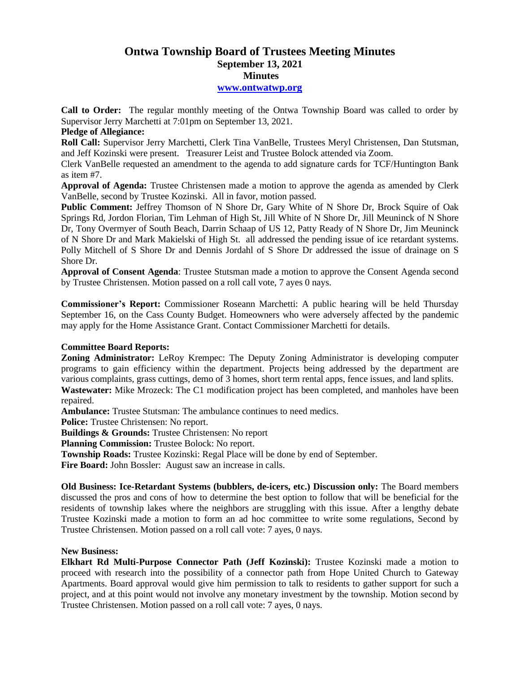# **Ontwa Township Board of Trustees Meeting Minutes September 13, 2021 Minutes**

### **[www.ontwatwp.org](http://www.ontwatwp.org/)**

**Call to Order:** The regular monthly meeting of the Ontwa Township Board was called to order by Supervisor Jerry Marchetti at 7:01pm on September 13, 2021.

## **Pledge of Allegiance:**

**Roll Call:** Supervisor Jerry Marchetti, Clerk Tina VanBelle, Trustees Meryl Christensen, Dan Stutsman, and Jeff Kozinski were present. Treasurer Leist and Trustee Bolock attended via Zoom.

Clerk VanBelle requested an amendment to the agenda to add signature cards for TCF/Huntington Bank as item #7.

**Approval of Agenda:** Trustee Christensen made a motion to approve the agenda as amended by Clerk VanBelle, second by Trustee Kozinski. All in favor, motion passed.

**Public Comment:** Jeffrey Thomson of N Shore Dr, Gary White of N Shore Dr, Brock Squire of Oak Springs Rd, Jordon Florian, Tim Lehman of High St, Jill White of N Shore Dr, Jill Meuninck of N Shore Dr, Tony Overmyer of South Beach, Darrin Schaap of US 12, Patty Ready of N Shore Dr, Jim Meuninck of N Shore Dr and Mark Makielski of High St. all addressed the pending issue of ice retardant systems. Polly Mitchell of S Shore Dr and Dennis Jordahl of S Shore Dr addressed the issue of drainage on S Shore Dr.

**Approval of Consent Agenda**: Trustee Stutsman made a motion to approve the Consent Agenda second by Trustee Christensen. Motion passed on a roll call vote, 7 ayes 0 nays.

**Commissioner's Report:** Commissioner Roseann Marchetti: A public hearing will be held Thursday September 16, on the Cass County Budget. Homeowners who were adversely affected by the pandemic may apply for the Home Assistance Grant. Contact Commissioner Marchetti for details.

## **Committee Board Reports:**

**Zoning Administrator:** LeRoy Krempec: The Deputy Zoning Administrator is developing computer programs to gain efficiency within the department. Projects being addressed by the department are various complaints, grass cuttings, demo of 3 homes, short term rental apps, fence issues, and land splits. **Wastewater:** Mike Mrozeck: The C1 modification project has been completed, and manholes have been repaired.

**Ambulance:** Trustee Stutsman: The ambulance continues to need medics.

**Police:** Trustee Christensen: No report.

**Buildings & Grounds:** Trustee Christensen: No report

**Planning Commission:** Trustee Bolock: No report.

**Township Roads:** Trustee Kozinski: Regal Place will be done by end of September.

**Fire Board:** John Bossler: August saw an increase in calls.

**Old Business: Ice-Retardant Systems (bubblers, de-icers, etc.) Discussion only:** The Board members discussed the pros and cons of how to determine the best option to follow that will be beneficial for the residents of township lakes where the neighbors are struggling with this issue. After a lengthy debate Trustee Kozinski made a motion to form an ad hoc committee to write some regulations, Second by Trustee Christensen. Motion passed on a roll call vote: 7 ayes, 0 nays.

## **New Business:**

**Elkhart Rd Multi-Purpose Connector Path (Jeff Kozinski):** Trustee Kozinski made a motion to proceed with research into the possibility of a connector path from Hope United Church to Gateway Apartments. Board approval would give him permission to talk to residents to gather support for such a project, and at this point would not involve any monetary investment by the township. Motion second by Trustee Christensen. Motion passed on a roll call vote: 7 ayes, 0 nays.